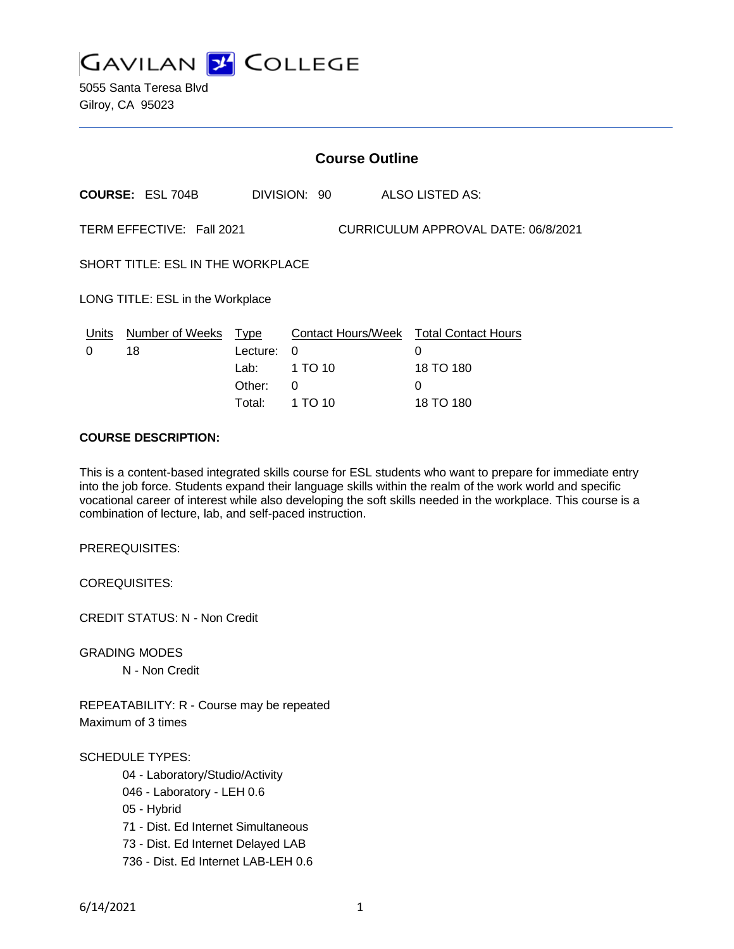

5055 Santa Teresa Blvd Gilroy, CA 95023

|                                                                  |                            | <b>Course Outline</b> |              |  |                                        |
|------------------------------------------------------------------|----------------------------|-----------------------|--------------|--|----------------------------------------|
|                                                                  | <b>COURSE: ESL 704B</b>    |                       | DIVISION: 90 |  | ALSO LISTED AS:                        |
| TERM EFFECTIVE: Fall 2021<br>CURRICULUM APPROVAL DATE: 06/8/2021 |                            |                       |              |  |                                        |
| SHORT TITLE: ESL IN THE WORKPLACE                                |                            |                       |              |  |                                        |
| LONG TITLE: ESL in the Workplace                                 |                            |                       |              |  |                                        |
|                                                                  | Units Number of Weeks Type |                       |              |  | Contact Hours/Week Total Contact Hours |
| 0                                                                | 18                         | Lecture:              | 0            |  | 0                                      |
|                                                                  |                            | Lab:                  | 1 TO 10      |  | 18 TO 180                              |
|                                                                  |                            | Other:                | 0            |  | 0                                      |
|                                                                  |                            | Total:                | 1 TO 10      |  | 18 TO 180                              |

### **COURSE DESCRIPTION:**

This is a content-based integrated skills course for ESL students who want to prepare for immediate entry into the job force. Students expand their language skills within the realm of the work world and specific vocational career of interest while also developing the soft skills needed in the workplace. This course is a combination of lecture, lab, and self-paced instruction.

PREREQUISITES:

COREQUISITES:

CREDIT STATUS: N - Non Credit

GRADING MODES

N - Non Credit

REPEATABILITY: R - Course may be repeated Maximum of 3 times

#### SCHEDULE TYPES:

- 04 Laboratory/Studio/Activity
- 046 Laboratory LEH 0.6
- 05 Hybrid
- 71 Dist. Ed Internet Simultaneous
- 73 Dist. Ed Internet Delayed LAB
- 736 Dist. Ed Internet LAB-LEH 0.6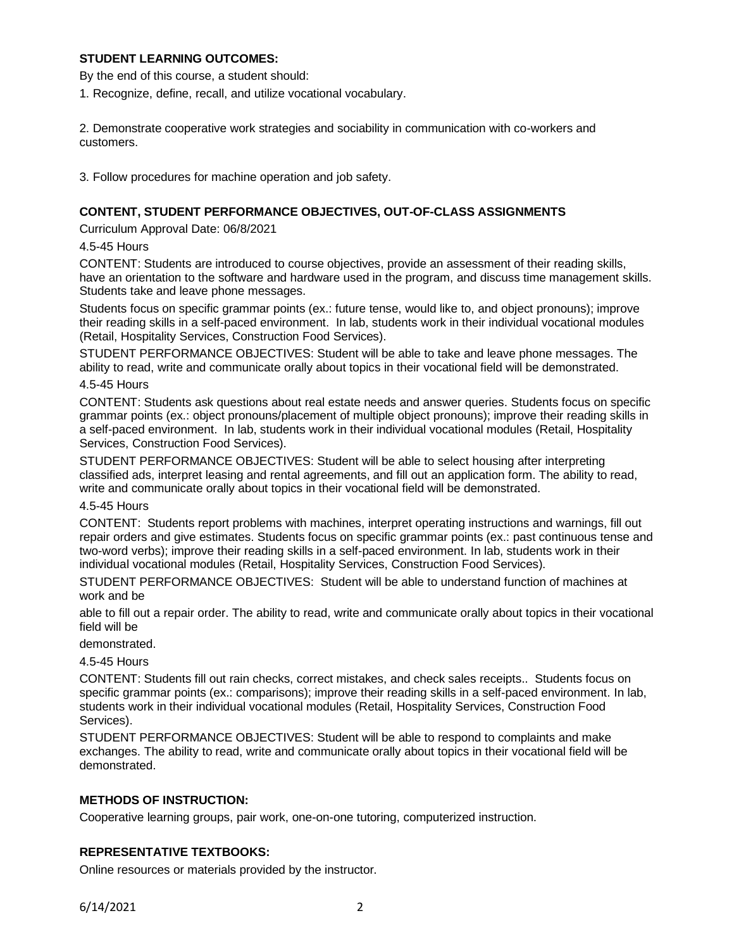## **STUDENT LEARNING OUTCOMES:**

By the end of this course, a student should:

1. Recognize, define, recall, and utilize vocational vocabulary.

2. Demonstrate cooperative work strategies and sociability in communication with co-workers and customers.

3. Follow procedures for machine operation and job safety.

## **CONTENT, STUDENT PERFORMANCE OBJECTIVES, OUT-OF-CLASS ASSIGNMENTS**

Curriculum Approval Date: 06/8/2021

#### 4.5-45 Hours

CONTENT: Students are introduced to course objectives, provide an assessment of their reading skills, have an orientation to the software and hardware used in the program, and discuss time management skills. Students take and leave phone messages.

Students focus on specific grammar points (ex.: future tense, would like to, and object pronouns); improve their reading skills in a self-paced environment. In lab, students work in their individual vocational modules (Retail, Hospitality Services, Construction Food Services).

STUDENT PERFORMANCE OBJECTIVES: Student will be able to take and leave phone messages. The ability to read, write and communicate orally about topics in their vocational field will be demonstrated.

#### 4.5-45 Hours

CONTENT: Students ask questions about real estate needs and answer queries. Students focus on specific grammar points (ex.: object pronouns/placement of multiple object pronouns); improve their reading skills in a self-paced environment. In lab, students work in their individual vocational modules (Retail, Hospitality Services, Construction Food Services).

STUDENT PERFORMANCE OBJECTIVES: Student will be able to select housing after interpreting classified ads, interpret leasing and rental agreements, and fill out an application form. The ability to read, write and communicate orally about topics in their vocational field will be demonstrated.

#### 4.5-45 Hours

CONTENT: Students report problems with machines, interpret operating instructions and warnings, fill out repair orders and give estimates. Students focus on specific grammar points (ex.: past continuous tense and two-word verbs); improve their reading skills in a self-paced environment. In lab, students work in their individual vocational modules (Retail, Hospitality Services, Construction Food Services).

STUDENT PERFORMANCE OBJECTIVES: Student will be able to understand function of machines at work and be

able to fill out a repair order. The ability to read, write and communicate orally about topics in their vocational field will be

#### demonstrated.

#### 4.5-45 Hours

CONTENT: Students fill out rain checks, correct mistakes, and check sales receipts.. Students focus on specific grammar points (ex.: comparisons); improve their reading skills in a self-paced environment. In lab, students work in their individual vocational modules (Retail, Hospitality Services, Construction Food Services).

STUDENT PERFORMANCE OBJECTIVES: Student will be able to respond to complaints and make exchanges. The ability to read, write and communicate orally about topics in their vocational field will be demonstrated.

#### **METHODS OF INSTRUCTION:**

Cooperative learning groups, pair work, one-on-one tutoring, computerized instruction.

#### **REPRESENTATIVE TEXTBOOKS:**

Online resources or materials provided by the instructor.